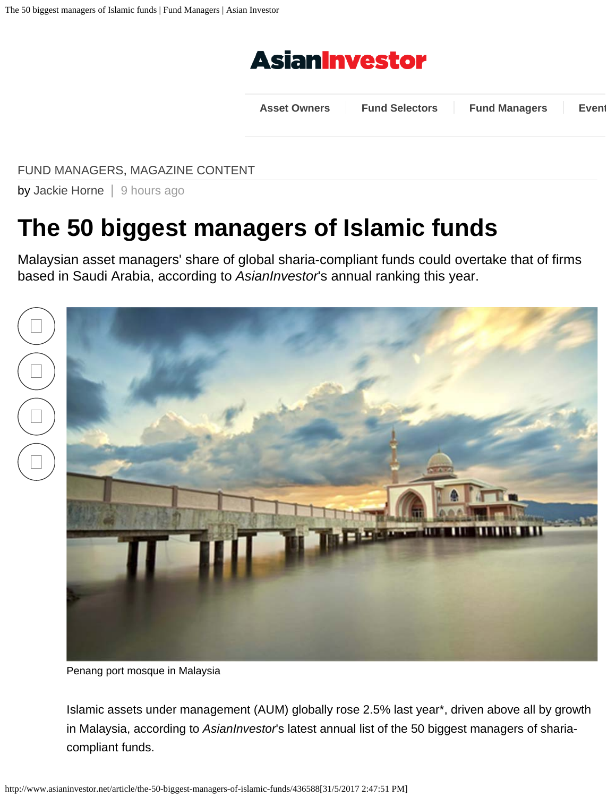

**[Asset Owners](http://www.asianinvestor.net/category/asset-owners/208) [Fund Selectors](http://www.asianinvestor.net/category/fund-selectors/209) [Fund Managers](http://www.asianinvestor.net/category/fund-mangers/210) [Event](http://www.asianinvestor.net/event)**

<span id="page-0-0"></span>[FUND MANAGERS,](http://www.asianinvestor.net/category/fund-managers/210) [MAGAZINE CONTENT](http://www.asianinvestor.net/category/magazine-content/874)

by [Jackie Horne](http://www.asianinvestor.net/author/jackie-horne-1-2-3-4-5/942245) | 9 hours ago

# **The 50 biggest managers of Islamic funds**

Malaysian asset managers' share of global sharia-compliant funds could overtake that of firms based in Saudi Arabia, according to *AsianInvestor*'s annual ranking this year.





Penang port mosque in Malaysia

Islamic assets under management (AUM) globally rose 2.5% last year\*, driven above all by growth in Malaysia, according to *AsianInvestor*'s latest annual list of the 50 biggest managers of shariacompliant funds.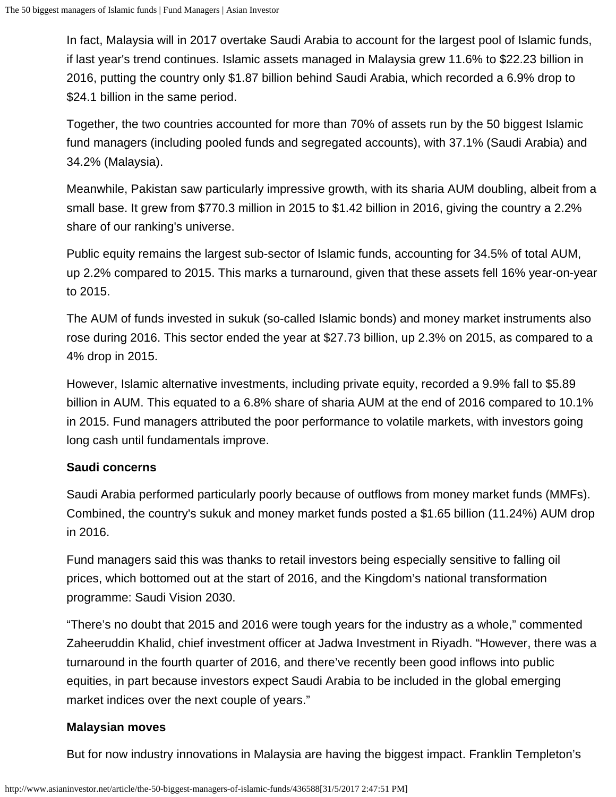In fact, Malaysia will in 2017 overtake Saudi Arabia to account for the largest pool of Islamic funds, if last year's trend continues. Islamic assets managed in Malaysia grew 11.6% to \$22.23 billion in 2016, putting the country only \$1.87 billion behind Saudi Arabia, which recorded a 6.9% drop to \$24.1 billion in the same period.

Together, the two countries accounted for more than 70% of assets run by the 50 biggest Islamic fund managers (including pooled funds and segregated accounts), with 37.1% (Saudi Arabia) and 34.2% (Malaysia).

Meanwhile, Pakistan saw particularly impressive growth, with its sharia AUM doubling, albeit from a small base. It grew from \$770.3 million in 2015 to \$1.42 billion in 2016, giving the country a 2.2% share of our ranking's universe.

Public equity remains the largest sub-sector of Islamic funds, accounting for 34.5% of total AUM, up 2.2% compared to 2015. This marks a turnaround, given that these assets fell 16% year-on-year to 2015.

The AUM of funds invested in sukuk (so-called Islamic bonds) and money market instruments also rose during 2016. This sector ended the year at \$27.73 billion, up 2.3% on 2015, as compared to a 4% drop in 2015.

However, Islamic alternative investments, including private equity, recorded a 9.9% fall to \$5.89 billion in AUM. This equated to a 6.8% share of sharia AUM at the end of 2016 compared to 10.1% in 2015. Fund managers attributed the poor performance to volatile markets, with investors going long cash until fundamentals improve.

## **Saudi concerns**

Saudi Arabia performed particularly poorly because of outflows from money market funds (MMFs). Combined, the country's sukuk and money market funds posted a \$1.65 billion (11.24%) AUM drop in 2016.

Fund managers said this was thanks to retail investors being especially sensitive to falling oil prices, which bottomed out at the start of 2016, and the Kingdom's national transformation programme: Saudi Vision 2030.

"There's no doubt that 2015 and 2016 were tough years for the industry as a whole," commented Zaheeruddin Khalid, chief investment officer at Jadwa Investment in Riyadh. "However, there was a turnaround in the fourth quarter of 2016, and there've recently been good inflows into public equities, in part because investors expect Saudi Arabia to be included in the global emerging market indices over the next couple of years."

#### **Malaysian moves**

But for now industry innovations in Malaysia are having the biggest impact. Franklin Templeton's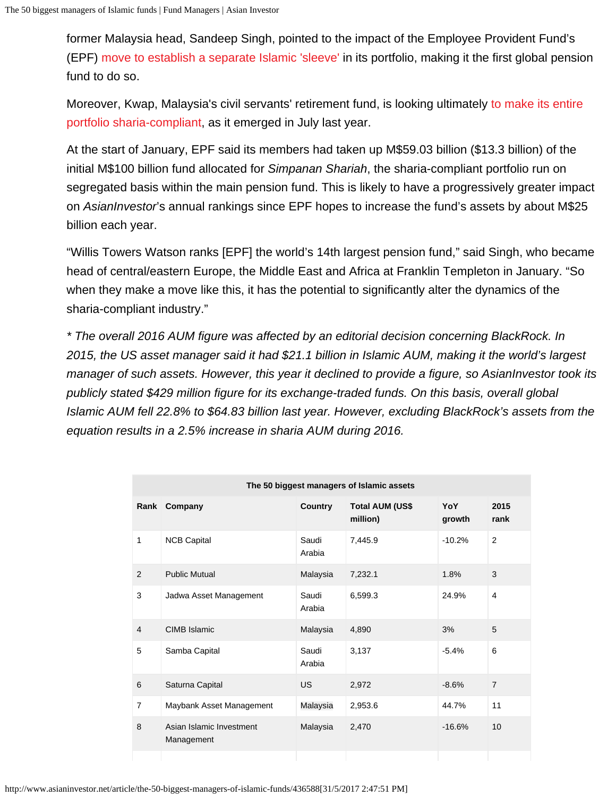former Malaysia head, Sandeep Singh, pointed to the impact of the Employee Provident Fund's (EPF) [move to establish a separate Islamic 'sleeve'](http://www.asianinvestor.net/article/malaysias-epf-readies-25bn-sharia-fund/427105) in its portfolio, making it the first global pension fund to do so.

Moreover, Kwap, Malaysia's civil servants' retirement fund, is looking ultimately [to make its entire](http://www.asianinvestor.net/article/kwap-to-go-fully-sharia-may-cut-return-target/428053) [portfolio sharia-compliant](http://www.asianinvestor.net/article/kwap-to-go-fully-sharia-may-cut-return-target/428053), as it emerged in July last year.

At the start of January, EPF said its members had taken up M\$59.03 billion (\$13.3 billion) of the initial M\$100 billion fund allocated for *Simpanan Shariah*, the sharia-compliant portfolio run on segregated basis within the main pension fund. This is likely to have a progressively greater impact on *AsianInvestor*'s annual rankings since EPF hopes to increase the fund's assets by about M\$25 billion each year.

"Willis Towers Watson ranks [EPF] the world's 14th largest pension fund," said Singh, who became head of central/eastern Europe, the Middle East and Africa at Franklin Templeton in January. "So when they make a move like this, it has the potential to significantly alter the dynamics of the sharia-compliant industry."

*\* The overall 2016 AUM figure was affected by an editorial decision concerning BlackRock. In 2015, the US asset manager said it had \$21.1 billion in Islamic AUM, making it the world's largest manager of such assets. However, this year it declined to provide a figure, so AsianInvestor took its publicly stated \$429 million figure for its exchange-traded funds. On this basis, overall global Islamic AUM fell 22.8% to \$64.83 billion last year. However, excluding BlackRock's assets from the equation results in a 2.5% increase in sharia AUM during 2016.*

| The 50 biggest managers of Islamic assets |                                        |                 |                                    |               |                |  |  |
|-------------------------------------------|----------------------------------------|-----------------|------------------------------------|---------------|----------------|--|--|
|                                           | Rank Company                           | <b>Country</b>  | <b>Total AUM (US\$</b><br>million) | YoY<br>growth | 2015<br>rank   |  |  |
| 1                                         | <b>NCB Capital</b>                     | Saudi<br>Arabia | 7,445.9                            | $-10.2%$      | 2              |  |  |
| 2                                         | <b>Public Mutual</b>                   | Malaysia        | 7,232.1                            | 1.8%          | 3              |  |  |
| 3                                         | Jadwa Asset Management                 | Saudi<br>Arabia | 6,599.3                            | 24.9%         | 4              |  |  |
| $\overline{4}$                            | CIMB Islamic                           | Malaysia        | 4,890                              | 3%            | 5              |  |  |
| 5                                         | Samba Capital                          | Saudi<br>Arabia | 3,137                              | $-5.4%$       | 6              |  |  |
| 6                                         | Saturna Capital                        | US              | 2,972                              | $-8.6%$       | $\overline{7}$ |  |  |
| $\overline{7}$                            | Maybank Asset Management               | Malaysia        | 2,953.6                            | 44.7%         | 11             |  |  |
| 8                                         | Asian Islamic Investment<br>Management | Malaysia        | 2,470                              | $-16.6%$      | 10             |  |  |
|                                           |                                        |                 |                                    |               |                |  |  |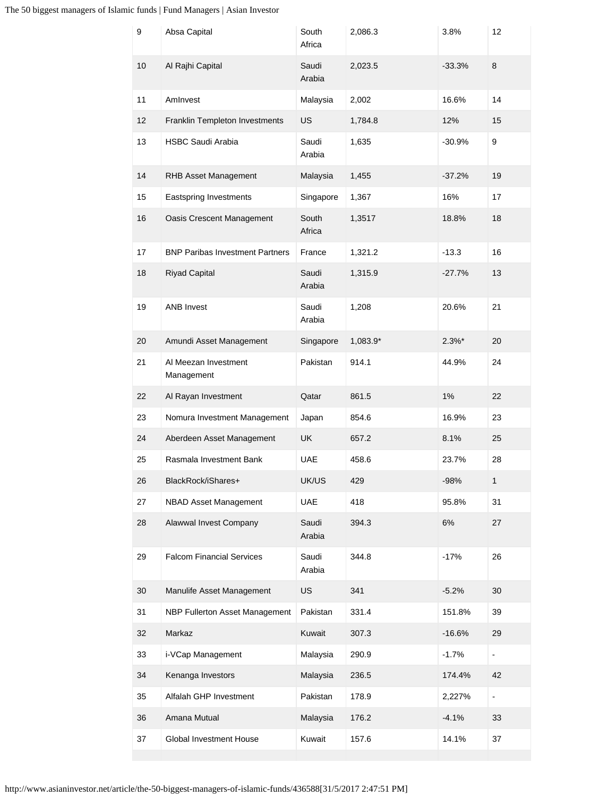### The 50 biggest managers of Islamic funds | Fund Managers | Asian Investor

| 9  | Absa Capital                           | South<br>Africa | 2,086.3  | 3.8%      | 12                       |
|----|----------------------------------------|-----------------|----------|-----------|--------------------------|
| 10 | Al Rajhi Capital                       | Saudi<br>Arabia | 2,023.5  | $-33.3%$  | 8                        |
| 11 | Amlnvest                               | Malaysia        | 2,002    | 16.6%     | 14                       |
| 12 | Franklin Templeton Investments         | <b>US</b>       | 1,784.8  | 12%       | 15                       |
| 13 | <b>HSBC Saudi Arabia</b>               | Saudi<br>Arabia | 1,635    | $-30.9%$  | $\boldsymbol{9}$         |
| 14 | RHB Asset Management                   | Malaysia        | 1,455    | $-37.2%$  | 19                       |
| 15 | Eastspring Investments                 | Singapore       | 1,367    | 16%       | 17                       |
| 16 | Oasis Crescent Management              | South<br>Africa | 1,3517   | 18.8%     | 18                       |
| 17 | <b>BNP Paribas Investment Partners</b> | France          | 1,321.2  | $-13.3$   | 16                       |
| 18 | <b>Riyad Capital</b>                   | Saudi<br>Arabia | 1,315.9  | $-27.7%$  | 13                       |
| 19 | <b>ANB Invest</b>                      | Saudi<br>Arabia | 1,208    | 20.6%     | 21                       |
| 20 | Amundi Asset Management                | Singapore       | 1,083.9* | $2.3\%$ * | 20                       |
| 21 | Al Meezan Investment<br>Management     | Pakistan        | 914.1    | 44.9%     | 24                       |
| 22 | Al Rayan Investment                    | Qatar           | 861.5    | 1%        | 22                       |
| 23 | Nomura Investment Management           | Japan           | 854.6    | 16.9%     | 23                       |
| 24 | Aberdeen Asset Management              | <b>UK</b>       | 657.2    | 8.1%      | 25                       |
| 25 | Rasmala Investment Bank                | <b>UAE</b>      | 458.6    | 23.7%     | 28                       |
| 26 | BlackRock/iShares+                     | UK/US           | 429      | $-98%$    | 1                        |
| 27 | <b>NBAD Asset Management</b>           | <b>UAE</b>      | 418      | 95.8%     | 31                       |
| 28 | Alawwal Invest Company                 | Saudi<br>Arabia | 394.3    | 6%        | 27                       |
| 29 | <b>Falcom Financial Services</b>       | Saudi<br>Arabia | 344.8    | $-17%$    | 26                       |
| 30 | Manulife Asset Management              | US              | 341      | $-5.2%$   | 30                       |
| 31 | NBP Fullerton Asset Management         | Pakistan        | 331.4    | 151.8%    | 39                       |
| 32 | Markaz                                 | Kuwait          | 307.3    | $-16.6%$  | 29                       |
| 33 | i-VCap Management                      | Malaysia        | 290.9    | $-1.7%$   | $\overline{\phantom{0}}$ |
| 34 | Kenanga Investors                      | Malaysia        | 236.5    | 174.4%    | 42                       |
| 35 | Alfalah GHP Investment                 | Pakistan        | 178.9    | 2,227%    | -                        |
| 36 | Amana Mutual                           | Malaysia        | 176.2    | $-4.1%$   | 33                       |
| 37 | Global Investment House                | Kuwait          | 157.6    | 14.1%     | 37                       |
|    |                                        |                 |          |           |                          |